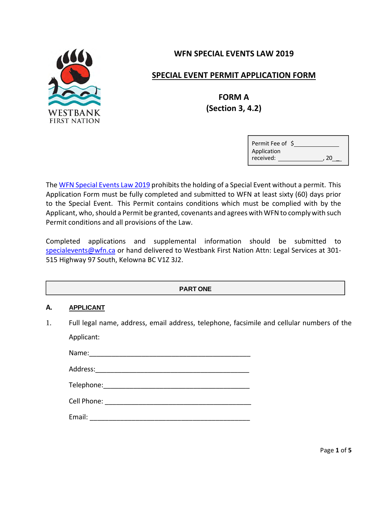

## **WFN SPECIAL EVENTS LAW 2019**

## **SPECIAL EVENT PERMIT APPLICATION FORM**

# **FORM A (Section 3, 4.2)**

| Permit Fee of \$ |  |    |  |
|------------------|--|----|--|
| Application      |  |    |  |
| received:        |  | 20 |  |

The WFN Special Events Law 2019 prohibits the holding of a Special Event without a permit. This Application Form must be fully completed and submitted to WFN at least sixty (60) days prior to the Special Event. This Permit contains conditions which must be complied with by the Applicant, who, should a Permit be granted, covenants and agrees with WFN to comply with such Permit conditions and all provisions of the Law.

Completed applications and supplemental information should be submitted to specialevents@wfn.ca or hand delivered to Westbank First Nation Attn: Legal Services at 301-515 Highway 97 South, Kelowna BC V1Z 3J2.

### **PART ONE**

#### **A. APPLICANT**

1. Full legal name, address, email address, telephone, facsimile and cellular numbers of the Applicant:

Name:\_\_\_\_\_\_\_\_\_\_\_\_\_\_\_\_\_\_\_\_\_\_\_\_\_\_\_\_\_\_\_\_\_\_\_\_\_\_\_\_\_\_\_ Address: Telephone:\_\_\_\_\_\_\_\_\_\_\_\_\_\_\_\_\_\_\_\_\_\_\_\_\_\_\_\_\_\_\_\_\_\_\_\_\_\_\_ Cell Phone: \_\_\_\_\_\_\_\_\_\_\_\_\_\_\_\_\_\_\_\_\_\_\_\_\_\_\_\_\_\_\_\_\_\_\_\_\_\_\_

Email: \_\_\_\_\_\_\_\_\_\_\_\_\_\_\_\_\_\_\_\_\_\_\_\_\_\_\_\_\_\_\_\_\_\_\_\_\_\_\_\_\_\_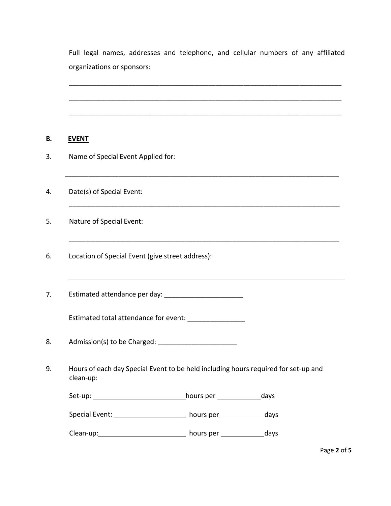Full legal names, addresses and telephone, and cellular numbers of any affiliated organizations or sponsors:

\_\_\_\_\_\_\_\_\_\_\_\_\_\_\_\_\_\_\_\_\_\_\_\_\_\_\_\_\_\_\_\_\_\_\_\_\_\_\_\_\_\_\_\_\_\_\_\_\_\_\_\_\_\_\_\_\_\_\_\_\_\_\_\_\_\_\_\_\_\_\_\_\_\_\_\_\_\_

\_\_\_\_\_\_\_\_\_\_\_\_\_\_\_\_\_\_\_\_\_\_\_\_\_\_\_\_\_\_\_\_\_\_\_\_\_\_\_\_\_\_\_\_\_\_\_\_\_\_\_\_\_\_\_\_\_\_\_\_\_\_\_\_\_\_\_\_\_\_\_\_\_\_\_\_\_\_

\_\_\_\_\_\_\_\_\_\_\_\_\_\_\_\_\_\_\_\_\_\_\_\_\_\_\_\_\_\_\_\_\_\_\_\_\_\_\_\_\_\_\_\_\_\_\_\_\_\_\_\_\_\_\_\_\_\_\_\_\_\_\_\_\_\_\_\_\_\_\_\_\_\_\_\_\_\_

\_\_\_\_\_\_\_\_\_\_\_\_\_\_\_\_\_\_\_\_\_\_\_\_\_\_\_\_\_\_\_\_\_\_\_\_\_\_\_\_\_\_\_\_\_\_\_\_\_\_\_\_\_\_\_\_\_\_\_\_\_\_\_\_\_\_\_\_\_\_\_\_\_\_\_\_\_\_\_\_\_\_

\_\_\_\_\_\_\_\_\_\_\_\_\_\_\_\_\_\_\_\_\_\_\_\_\_\_\_\_\_\_\_\_\_\_\_\_\_\_\_\_\_\_\_\_\_\_\_\_\_\_\_\_\_\_\_\_\_\_\_\_\_\_\_\_\_\_\_\_\_\_\_

\_\_\_\_\_\_\_\_\_\_\_\_\_\_\_\_\_\_\_\_\_\_\_\_\_\_\_\_\_\_\_\_\_\_\_\_\_\_\_\_\_\_\_\_\_\_\_\_\_\_\_\_\_\_\_\_\_\_\_\_\_\_\_\_\_\_\_\_\_\_\_\_\_\_\_\_\_\_\_\_\_

#### **B. EVENT**

- 3. Name of Special Event Applied for:
- 4. Date(s) of Special Event:
- 5. Nature of Special Event:
- 6. Location of Special Event (give street address):
- 7. Estimated attendance per day:

Estimated total attendance for event:

- 8. Admission(s) to be Charged: \_\_\_\_\_\_\_\_\_\_\_\_\_\_\_\_\_\_\_\_\_
- 9. Hours of each day Special Event to be held including hours required for set‐up and clean‐up:

Set‐up: hours per days

Special Event: \_\_\_\_\_\_\_\_\_\_\_\_\_\_\_\_\_\_\_\_\_\_\_\_ hours per \_\_\_\_\_\_\_\_\_\_\_\_\_\_\_days

Clean-up: days details are also contained a hours per days days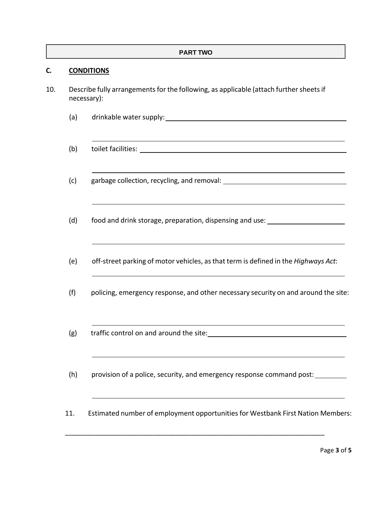#### **PART TWO**

#### **C. CONDITIONS**

- 10. Describe fully arrangements for the following, as applicable (attach further sheets if necessary):
	- (a) drinkable water supply:
	- (b) toilet facilities:
	- (c) garbage collection, recycling, and removal:
	- (d) food and drink storage, preparation, dispensing and use: \_\_\_\_\_\_\_\_\_\_\_\_\_\_\_\_\_\_\_
	- (e) off‐street parking of motor vehicles, asthat term is defined in the *Highways Act*:
	- (f) policing, emergency response, and other necessary security on and around the site:
	- (g) traffic control on and around the site:
	- (h) provision of a police, security, and emergency response command post:

\_\_\_\_\_\_\_\_\_\_\_\_\_\_\_\_\_\_\_\_\_\_\_\_\_\_\_\_\_\_\_\_\_\_\_\_\_\_\_\_\_\_\_\_\_\_\_\_\_\_\_\_\_\_\_\_\_\_\_\_\_\_\_\_\_\_\_\_

11. Estimated number of employment opportunitiesfor Westbank First Nation Members: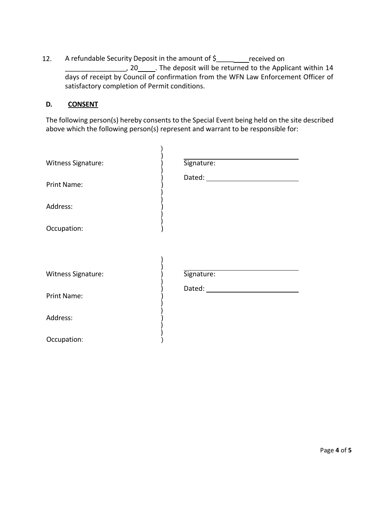12. A refundable Security Deposit in the amount of \$\_\_\_\_\_\_\_\_ received on , 20 . The deposit will be returned to the Applicant within 14 days of receipt by Council of confirmation from the WFN Law Enforcement Officer of satisfactory completion of Permit conditions.

#### **D. CONSENT**

The following person(s) hereby consents to the Special Event being held on the site described above which the following person(s) represent and warrant to be responsible for:

| Witness Signature:<br>Print Name:<br>Address:<br>Occupation:        | Signature: |
|---------------------------------------------------------------------|------------|
| Witness Signature:<br><b>Print Name:</b><br>Address:<br>Occupation: | Signature: |